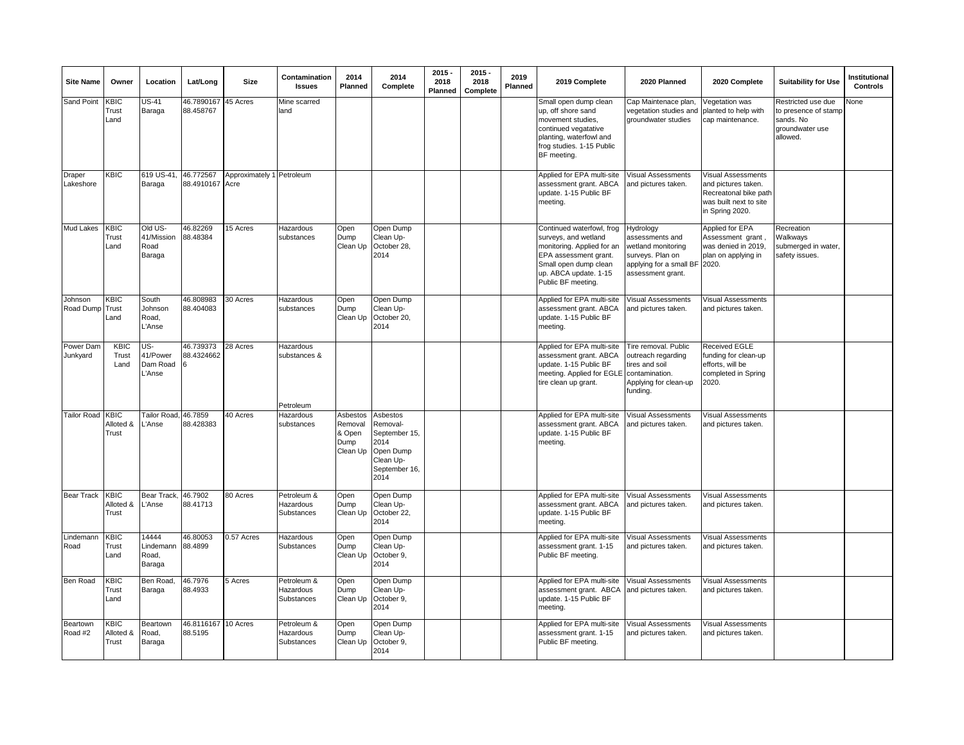| <b>Site Name</b>      | Owner                               | Location                                         | Lat/Long                | Size                              | Contamination<br><b>Issues</b>         | 2014<br>Planned                                   | 2014<br>Complete                                                                                 | $2015 -$<br>2018<br>Planned | $2015 -$<br>2018<br>Complete | 2019<br>Planned | 2019 Complete                                                                                                                                                                    | 2020 Planned                                                                                                           | 2020 Complete                                                                                                   | <b>Suitability for Use</b>                                                             | Institutional<br><b>Controls</b> |
|-----------------------|-------------------------------------|--------------------------------------------------|-------------------------|-----------------------------------|----------------------------------------|---------------------------------------------------|--------------------------------------------------------------------------------------------------|-----------------------------|------------------------------|-----------------|----------------------------------------------------------------------------------------------------------------------------------------------------------------------------------|------------------------------------------------------------------------------------------------------------------------|-----------------------------------------------------------------------------------------------------------------|----------------------------------------------------------------------------------------|----------------------------------|
| <b>Sand Point</b>     | <b>KBIC</b><br>Trust<br>Land        | $\overline{\mathsf{US}}$ -41<br>Baraga           | 46.7890167<br>88.458767 | 45 Acres                          | Mine scarred<br>land                   |                                                   |                                                                                                  |                             |                              |                 | Small open dump clean<br>up, off shore sand<br>movement studies,<br>continued vegatative<br>planting, waterfowl and<br>frog studies. 1-15 Public<br>BF meeting.                  | Cap Maintenace plan,<br>vegetation studies and<br>groundwater studies                                                  | Vegetation was<br>planted to help with<br>cap maintenance.                                                      | Restricted use due<br>to presence of stamp<br>sands. No<br>groundwater use<br>allowed. | None                             |
| Draper<br>Lakeshore   | KBIC                                | 619 US-41,<br>Baraga                             | 46.772567<br>88.4910167 | Approximately 1 Petroleum<br>Acre |                                        |                                                   |                                                                                                  |                             |                              |                 | Applied for EPA multi-site<br>assessment grant. ABCA<br>update. 1-15 Public BF<br>meeting.                                                                                       | Visual Assessments<br>and pictures taken.                                                                              | Visual Assessments<br>and pictures taken.<br>Recreatonal bike path<br>was built next to site<br>in Spring 2020. |                                                                                        |                                  |
| Mud Lakes             | KBIC<br>Trust<br>Land               | Old US-<br>41/Mission<br>Road<br>Baraga          | 46.82269<br>88.48384    | 15 Acres                          | Hazardous<br>substances                | Open<br>Dump<br>Clean Up                          | Open Dump<br>Clean Up-<br>October 28,<br>2014                                                    |                             |                              |                 | Continued waterfowl, frog<br>surveys, and wetland<br>monitoring. Applied for an<br>EPA assessment grant.<br>Small open dump clean<br>up. ABCA update. 1-15<br>Public BF meeting. | Hydrology<br>assessments and<br>wetland monitoring<br>surveys. Plan on<br>applying for a small BF<br>assessment grant. | Applied for EPA<br>Assessment grant,<br>was denied in 2019,<br>plan on applying in<br>2020.                     | Recreation<br>Walkways<br>submerged in water,<br>safety issues.                        |                                  |
| Johnson<br>Road Dump  | <b>KBIC</b><br>Trust<br>Land        | South<br>Johnson<br>Road,<br>'Anse               | 46.808983<br>88.404083  | 30 Acres                          | Hazardous<br>substances                | Open<br>Dump<br>Clean Up                          | Open Dump<br>Clean Up-<br>October 20,<br>2014                                                    |                             |                              |                 | Applied for EPA multi-site<br>assessment grant. ABCA<br>update. 1-15 Public BF<br>meeting.                                                                                       | /isual Assessments<br>and pictures taken.                                                                              | Visual Assessments<br>and pictures taken.                                                                       |                                                                                        |                                  |
| Power Dam<br>Junkyard | KBIC<br>Trust<br>Land               | US-<br>41/Power<br>Dam Road<br>Anse <sup>'</sup> | 46.739373<br>88.4324662 | 28 Acres                          | Hazardous<br>substances &<br>Petroleum |                                                   |                                                                                                  |                             |                              |                 | Applied for EPA multi-site<br>assessment grant. ABCA<br>update. 1-15 Public BF<br>meeting. Applied for EGLE contamination.<br>tire clean up grant.                               | Tire removal. Public<br>outreach regarding<br>tires and soil<br>Applying for clean-up<br>funding.                      | <b>Received EGLE</b><br>funding for clean-up<br>efforts, will be<br>completed in Spring<br>2020.                |                                                                                        |                                  |
| <b>Tailor Road</b>    | <b>KBIC</b><br>Alloted &<br>Trust   | Failor Road, 46.7859<br>'Anse                    | 88.428383               | 40 Acres                          | Hazardous<br>substances                | Asbestos<br>Removal<br>& Open<br>Dump<br>Clean Up | Asbestos<br>Removal-<br>September 15,<br>2014<br>Open Dump<br>Clean Up-<br>September 16,<br>2014 |                             |                              |                 | Applied for EPA multi-site<br>assessment grant. ABCA<br>update. 1-15 Public BF<br>meeting.                                                                                       | Visual Assessments<br>and pictures taken.                                                                              | <b>Visual Assessments</b><br>and pictures taken.                                                                |                                                                                        |                                  |
| <b>Bear Track</b>     | <b>KBIC</b><br>Alloted &<br>Trust   | Bear Track,<br>'Anse                             | 46.7902<br>88.41713     | 80 Acres                          | Petroleum &<br>Hazardous<br>Substances | Open<br>Dump<br>Clean Up                          | Open Dump<br>Clean Up-<br>October 22,<br>2014                                                    |                             |                              |                 | Applied for EPA multi-site<br>assessment grant. ABCA<br>update. 1-15 Public BF<br>meeting.                                                                                       | Visual Assessments<br>and pictures taken.                                                                              | Visual Assessments<br>and pictures taken.                                                                       |                                                                                        |                                  |
| Lindemann<br>Road     | <b>KBIC</b><br>Trust<br>Land        | 14444<br>Lindemann<br>Road,<br>Baraga            | 46.80053<br>88.4899     | 0.57 Acres                        | Hazardous<br>Substances                | Open<br>Dump<br>Clean Up                          | Open Dump<br>Clean Up-<br>October 9,<br>2014                                                     |                             |                              |                 | Applied for EPA multi-site<br>assessment grant. 1-15<br>Public BF meeting.                                                                                                       | <b>Visual Assessments</b><br>and pictures taken.                                                                       | Visual Assessments<br>and pictures taken.                                                                       |                                                                                        |                                  |
| Ben Road              | KBIC<br>Trust<br>Land               | Ben Road,<br>Baraga                              | 46.7976<br>88.4933      | 5 Acres                           | Petroleum &<br>Hazardous<br>Substances | Open<br>Dump<br>Clean Up                          | Open Dump<br>Clean Up-<br>October 9,<br>2014                                                     |                             |                              |                 | Applied for EPA multi-site<br>assessment grant. ABCA<br>update. 1-15 Public BF<br>meeting.                                                                                       | <b>Visual Assessments</b><br>and pictures taken.                                                                       | Visual Assessments<br>and pictures taken.                                                                       |                                                                                        |                                  |
| Beartown<br>Road #2   | $rac{}{AB C}$<br>Alloted &<br>Trust | Beartown<br>Road,<br>Baraga                      | 46.8116167<br>88.5195   | 10 Acres                          | Petroleum &<br>Hazardous<br>Substances | Open<br>Dump<br>Clean Up                          | Open Dump<br>Clean Up-<br>October 9,<br>2014                                                     |                             |                              |                 | Applied for EPA multi-site<br>assessment grant. 1-15<br>Public BF meeting.                                                                                                       | Visual Assessments<br>and pictures taken.                                                                              | Visual Assessments<br>and pictures taken.                                                                       |                                                                                        |                                  |